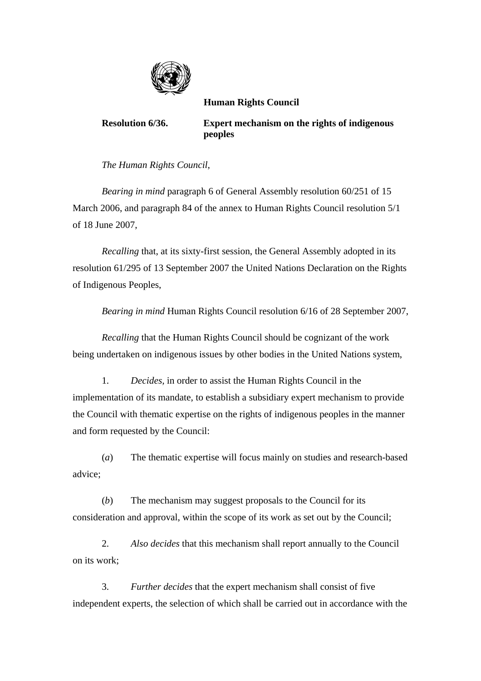

 **Human Rights Council** 

**Resolution 6/36. Expert mechanism on the rights of indigenous peoples** 

*The Human Rights Council*,

*Bearing in mind* paragraph 6 of General Assembly resolution 60/251 of 15 March 2006, and paragraph 84 of the annex to Human Rights Council resolution 5/1 of 18 June 2007,

 *Recalling* that, at its sixty-first session, the General Assembly adopted in its resolution 61/295 of 13 September 2007 the United Nations Declaration on the Rights of Indigenous Peoples,

 *Bearing in mind* Human Rights Council resolution 6/16 of 28 September 2007,

*Recalling* that the Human Rights Council should be cognizant of the work being undertaken on indigenous issues by other bodies in the United Nations system,

 1. *Decides,* in order to assist the Human Rights Council in the implementation of its mandate, to establish a subsidiary expert mechanism to provide the Council with thematic expertise on the rights of indigenous peoples in the manner and form requested by the Council:

 (*a*) The thematic expertise will focus mainly on studies and research-based advice;

 (*b*) The mechanism may suggest proposals to the Council for its consideration and approval, within the scope of its work as set out by the Council;

 2. *Also decides* that this mechanism shall report annually to the Council on its work;

 3. *Further decides* that the expert mechanism shall consist of five independent experts, the selection of which shall be carried out in accordance with the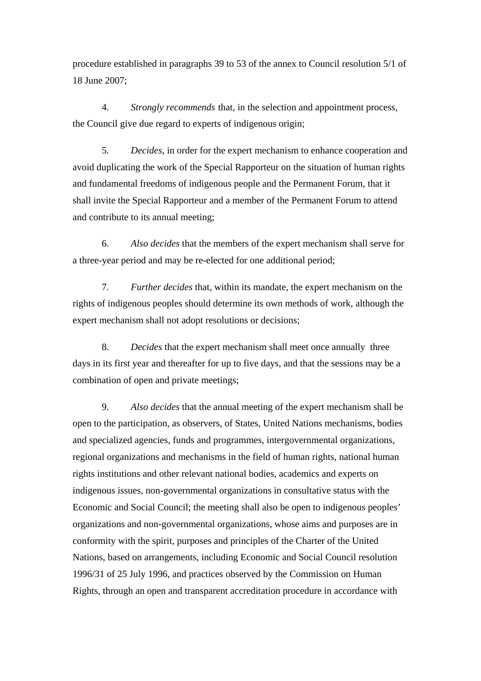procedure established in paragraphs 39 to 53 of the annex to Council resolution 5/1 of 18 June 2007;

 4. *Strongly recommends* that, in the selection and appointment process, the Council give due regard to experts of indigenous origin;

 5. *Decides*, in order for the expert mechanism to enhance cooperation and avoid duplicating the work of the Special Rapporteur on the situation of human rights and fundamental freedoms of indigenous people and the Permanent Forum, that it shall invite the Special Rapporteur and a member of the Permanent Forum to attend and contribute to its annual meeting;

 6. *Also decides* that the members of the expert mechanism shall serve for a three-year period and may be re-elected for one additional period;

 7. *Further decides* that, within its mandate, the expert mechanism on the rights of indigenous peoples should determine its own methods of work, although the expert mechanism shall not adopt resolutions or decisions;

 8. *Decides* that the expert mechanism shall meet once annually three days in its first year and thereafter for up to five days, and that the sessions may be a combination of open and private meetings;

 9. *Also decides* that the annual meeting of the expert mechanism shall be open to the participation, as observers, of States, United Nations mechanisms, bodies and specialized agencies, funds and programmes, intergovernmental organizations, regional organizations and mechanisms in the field of human rights, national human rights institutions and other relevant national bodies, academics and experts on indigenous issues, non-governmental organizations in consultative status with the Economic and Social Council; the meeting shall also be open to indigenous peoples' organizations and non-governmental organizations, whose aims and purposes are in conformity with the spirit, purposes and principles of the Charter of the United Nations, based on arrangements, including Economic and Social Council resolution 1996/31 of 25 July 1996, and practices observed by the Commission on Human Rights, through an open and transparent accreditation procedure in accordance with